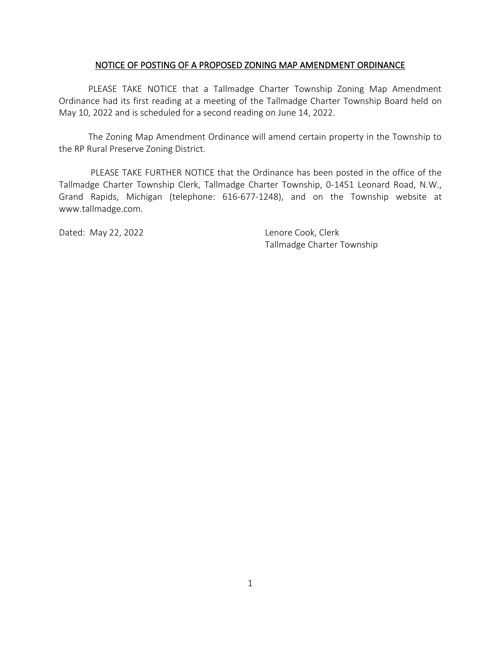## NOTICE OF POSTING OF A PROPOSED ZONING MAP AMENDMENT ORDINANCE

PLEASE TAKE NOTICE that a Tallmadge Charter Township Zoning Map Amendment Ordinance had its first reading at a meeting of the Tallmadge Charter Township Board held on May 10, 2022 and is scheduled for a second reading on June 14, 2022.

The Zoning Map Amendment Ordinance will amend certain property in the Township to the RP Rural Preserve Zoning District.

PLEASE TAKE FURTHER NOTICE that the Ordinance has been posted in the office of the Tallmadge Charter Township Clerk, Tallmadge Charter Township, 0-1451 Leonard Road, N.W., Grand Rapids, Michigan (telephone: 616-677-1248), and on the Township website at www.tallmadge.com.

Dated: May 22, 2022 **Lenore Cook**, Clerk

Tallmadge Charter Township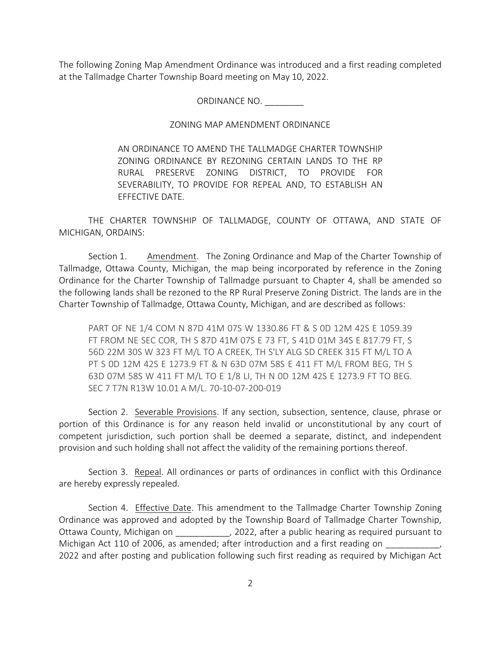The following Zoning Map Amendment Ordinance was introduced and a first reading completed at the Tallmadge Charter Township Board meeting on May 10, 2022.

ORDINANCE NO. \_\_\_\_\_\_\_\_

## ZONING MAP AMENDMENT ORDINANCE

AN ORDINANCE TO AMEND THE TALLMADGE CHARTER TOWNSHIP ZONING ORDINANCE BY REZONING CERTAIN LANDS TO THE RP RURAL PRESERVE ZONING DISTRICT, TO PROVIDE FOR SEVERABILITY, TO PROVIDE FOR REPEAL AND, TO ESTABLISH AN EFFECTIVE DATE.

THE CHARTER TOWNSHIP OF TALLMADGE, COUNTY OF OTTAWA, AND STATE OF MICHIGAN, ORDAINS:

Section 1. Amendment. The Zoning Ordinance and Map of the Charter Township of Tallmadge, Ottawa County, Michigan, the map being incorporated by reference in the Zoning Ordinance for the Charter Township of Tallmadge pursuant to Chapter 4, shall be amended so the following lands shall be rezoned to the RP Rural Preserve Zoning District. The lands are in the Charter Township of Tallmadge, Ottawa County, Michigan, and are described as follows:

PART OF NE 1/4 COM N 87D 41M 07S W 1330.86 FT & S 0D 12M 42S E 1059.39 FT FROM NE SEC COR, TH S 87D 41M 07S E 73 FT, S 41D 01M 34S E 817.79 FT, S 56D 22M 30S W 323 FT M/L TO A CREEK, TH S'LY ALG SD CREEK 315 FT M/L TO A PT S 0D 12M 42S E 1273.9 FT & N 63D 07M 58S E 411 FT M/L FROM BEG, TH S 63D 07M 58S W 411 FT M/L TO E 1/8 LI, TH N 0D 12M 42S E 1273.9 FT TO BEG. SEC 7 T7N R13W 10.01 A M/L. 70-10-07-200-019

Section 2. Severable Provisions. If any section, subsection, sentence, clause, phrase or portion of this Ordinance is for any reason held invalid or unconstitutional by any court of competent jurisdiction, such portion shall be deemed a separate, distinct, and independent provision and such holding shall not affect the validity of the remaining portions thereof.

Section 3. Repeal. All ordinances or parts of ordinances in conflict with this Ordinance are hereby expressly repealed.

Section 4. Effective Date. This amendment to the Tallmadge Charter Township Zoning Ordinance was approved and adopted by the Township Board of Tallmadge Charter Township, Ottawa County, Michigan on Theorem 2022, after a public hearing as required pursuant to Michigan Act 110 of 2006, as amended; after introduction and a first reading on 2022 and after posting and publication following such first reading as required by Michigan Act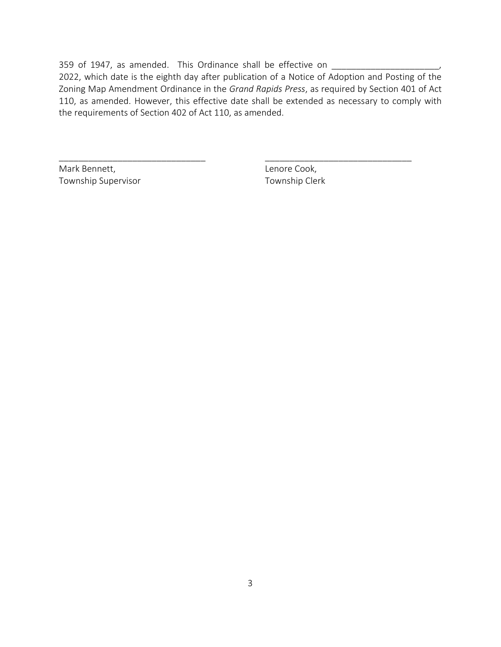359 of 1947, as amended. This Ordinance shall be effective on \_\_\_\_

2022, which date is the eighth day after publication of a Notice of Adoption and Posting of the Zoning Map Amendment Ordinance in the *Grand Rapids Press*, as required by Section 401 of Act 110, as amended. However, this effective date shall be extended as necessary to comply with the requirements of Section 402 of Act 110, as amended.

\_\_\_\_\_\_\_\_\_\_\_\_\_\_\_\_\_\_\_\_\_\_\_\_\_\_\_\_\_\_ \_\_\_\_\_\_\_\_\_\_\_\_\_\_\_\_\_\_\_\_\_\_\_\_\_\_\_\_\_\_

Mark Bennett, The Cook, Lenore Cook, Township Supervisor Township Clerk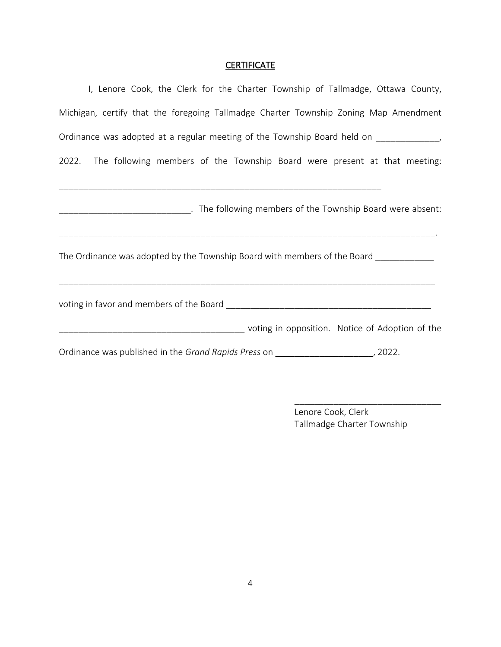## **CERTIFICATE**

| I, Lenore Cook, the Clerk for the Charter Township of Tallmadge, Ottawa County,            |
|--------------------------------------------------------------------------------------------|
| Michigan, certify that the foregoing Tallmadge Charter Township Zoning Map Amendment       |
| Ordinance was adopted at a regular meeting of the Township Board held on ____________      |
| 2022. The following members of the Township Board were present at that meeting:            |
| ________________________________. The following members of the Township Board were absent: |
| The Ordinance was adopted by the Township Board with members of the Board ___________      |
|                                                                                            |
| in opposition. Notice of Adoption of the Number of Adoption of the                         |
| Ordinance was published in the Grand Rapids Press on ________________________, 2022.       |

Lenore Cook, Clerk Tallmadge Charter Township

\_\_\_\_\_\_\_\_\_\_\_\_\_\_\_\_\_\_\_\_\_\_\_\_\_\_\_\_\_\_